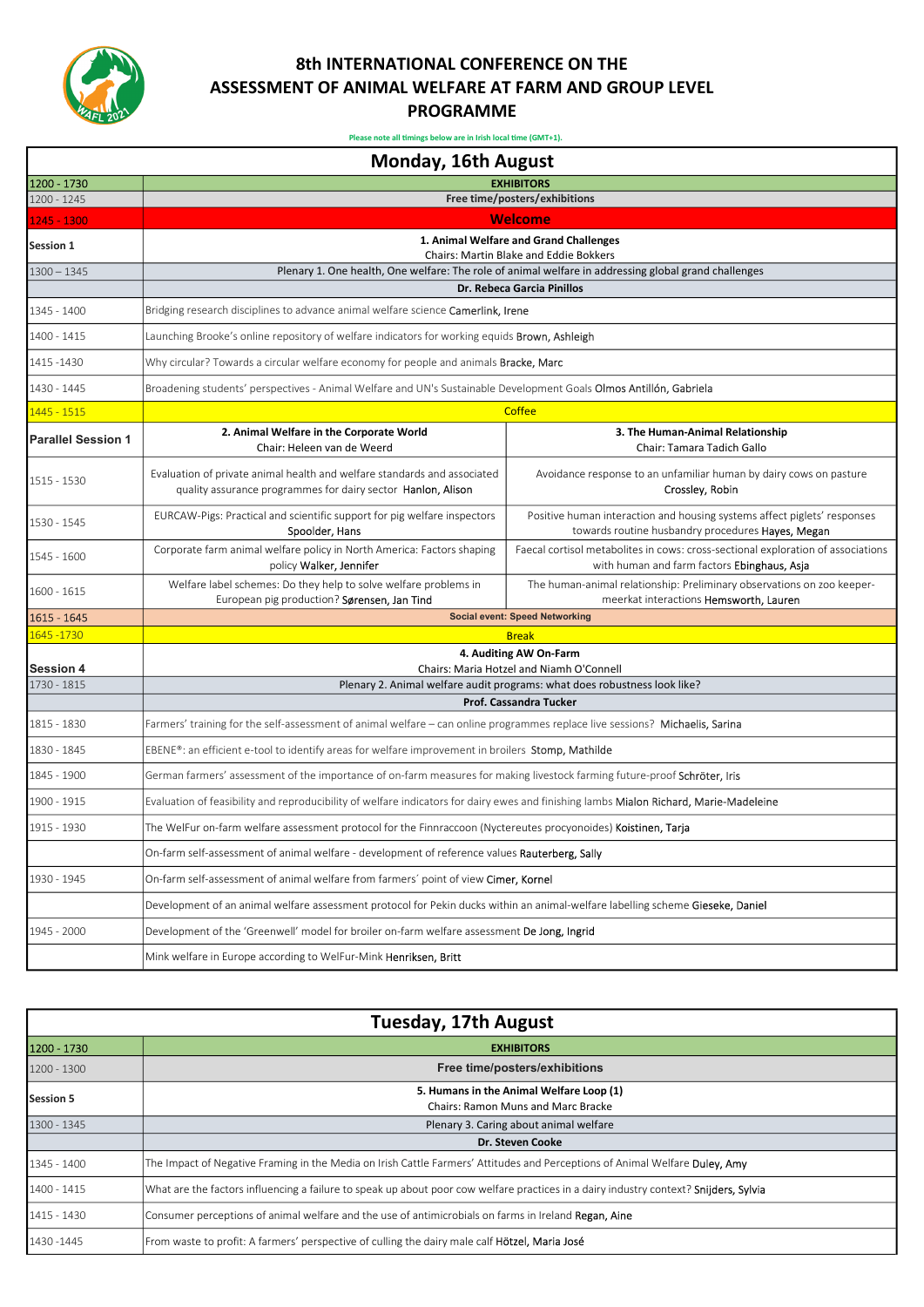

## 8th INTERNATIONAL CONFERENCE ON THE ASSESSMENT OF ANIMAL WELFARE AT FARM AND GROUP LEVEL PROGRAMME

Please note all timings below are in Irish local time (GMT+1).

|                                 | Monday, 16th August                                                                                                                      |                                                                                                                                 |  |
|---------------------------------|------------------------------------------------------------------------------------------------------------------------------------------|---------------------------------------------------------------------------------------------------------------------------------|--|
| 1200 - 1730                     |                                                                                                                                          | <b>EXHIBITORS</b>                                                                                                               |  |
| 1200 - 1245                     | Free time/posters/exhibitions                                                                                                            |                                                                                                                                 |  |
| 1245 - 1300                     | Welcome                                                                                                                                  |                                                                                                                                 |  |
| <b>Session 1</b>                | 1. Animal Welfare and Grand Challenges<br><b>Chairs: Martin Blake and Eddie Bokkers</b>                                                  |                                                                                                                                 |  |
| $1300 - 1345$                   | Plenary 1. One health, One welfare: The role of animal welfare in addressing global grand challenges                                     |                                                                                                                                 |  |
|                                 | Dr. Rebeca Garcia Pinillos                                                                                                               |                                                                                                                                 |  |
| 1345 - 1400                     | Bridging research disciplines to advance animal welfare science Camerlink, Irene                                                         |                                                                                                                                 |  |
| 1400 - 1415                     | Launching Brooke's online repository of welfare indicators for working equids <b>Brown, Ashleigh</b>                                     |                                                                                                                                 |  |
| 1415 - 1430                     | Why circular? Towards a circular welfare economy for people and animals Bracke, Marc                                                     |                                                                                                                                 |  |
| 1430 - 1445                     | Broadening students' perspectives - Animal Welfare and UN's Sustainable Development Goals Olmos Antillón, Gabriela                       |                                                                                                                                 |  |
| 1445 - 1515                     |                                                                                                                                          | <b>Coffee</b>                                                                                                                   |  |
| <b>Parallel Session 1</b>       | 2. Animal Welfare in the Corporate World<br>Chair: Heleen van de Weerd                                                                   | 3. The Human-Animal Relationship<br>Chair: Tamara Tadich Gallo                                                                  |  |
| 1515 - 1530                     | Evaluation of private animal health and welfare standards and associated<br>quality assurance programmes for dairy sector Hanlon, Alison | Avoidance response to an unfamiliar human by dairy cows on pasture<br>Crossley, Robin                                           |  |
| 1530 - 1545                     | EURCAW-Pigs: Practical and scientific support for pig welfare inspectors<br>Spoolder, Hans                                               | Positive human interaction and housing systems affect piglets' responses<br>towards routine husbandry procedures Hayes, Megan   |  |
| 1545 - 1600                     | Corporate farm animal welfare policy in North America: Factors shaping<br>policy Walker, Jennifer                                        | Faecal cortisol metabolites in cows: cross-sectional exploration of associations<br>with human and farm factors Ebinghaus, Asja |  |
| 1600 - 1615                     | Welfare label schemes: Do they help to solve welfare problems in<br>European pig production? Sørensen, Jan Tind                          | The human-animal relationship: Preliminary observations on zoo keeper-<br>meerkat interactions Hemsworth, Lauren                |  |
| 1615 - 1645                     |                                                                                                                                          | <b>Social event: Speed Networking</b>                                                                                           |  |
| 1645 - 1730                     |                                                                                                                                          | <b>Break</b>                                                                                                                    |  |
|                                 |                                                                                                                                          | 4. Auditing AW On-Farm                                                                                                          |  |
| <b>Session 4</b><br>1730 - 1815 |                                                                                                                                          | Chairs: Maria Hotzel and Niamh O'Connell                                                                                        |  |
|                                 |                                                                                                                                          | Plenary 2. Animal welfare audit programs: what does robustness look like?<br><b>Prof. Cassandra Tucker</b>                      |  |
| 1815 - 1830                     | Farmers' training for the self-assessment of animal welfare – can online programmes replace live sessions? Michaelis, Sarina             |                                                                                                                                 |  |
| 1830 - 1845                     | EBENE®: an efficient e-tool to identify areas for welfare improvement in broilers Stomp, Mathilde                                        |                                                                                                                                 |  |
| 1845 - 1900                     | German farmers' assessment of the importance of on-farm measures for making livestock farming future-proof Schröter, Iris                |                                                                                                                                 |  |
| 1900 - 1915                     | Evaluation of feasibility and reproducibility of welfare indicators for dairy ewes and finishing lambs Mialon Richard. Marie-Madeleine   |                                                                                                                                 |  |
| 1915 - 1930                     | The WelFur on-farm welfare assessment protocol for the Finnraccoon (Nyctereutes procyonoides) Koistinen, Tarja                           |                                                                                                                                 |  |
|                                 | On-farm self-assessment of animal welfare - development of reference values Rauterberg, Sally                                            |                                                                                                                                 |  |
| 1930 - 1945                     | On-farm self-assessment of animal welfare from farmers' point of view Cimer, Kornel                                                      |                                                                                                                                 |  |
|                                 | Development of an animal welfare assessment protocol for Pekin ducks within an animal-welfare labelling scheme Gieseke, Daniel           |                                                                                                                                 |  |
| 1945 - 2000                     | Development of the 'Greenwell' model for broiler on-farm welfare assessment De Jong, Ingrid                                              |                                                                                                                                 |  |
|                                 | Mink welfare in Europe according to WelFur-Mink Henriksen, Britt                                                                         |                                                                                                                                 |  |

| Tuesday, 17th August |                                                                                                                                       |  |  |
|----------------------|---------------------------------------------------------------------------------------------------------------------------------------|--|--|
| 1200 - 1730          | <b>EXHIBITORS</b>                                                                                                                     |  |  |
| 1200 - 1300          | Free time/posters/exhibitions                                                                                                         |  |  |
| <b>Session 5</b>     | 5. Humans in the Animal Welfare Loop (1)                                                                                              |  |  |
|                      | Chairs: Ramon Muns and Marc Bracke                                                                                                    |  |  |
| 1300 - 1345          | Plenary 3. Caring about animal welfare                                                                                                |  |  |
|                      | <b>Dr. Steven Cooke</b>                                                                                                               |  |  |
| 1345 - 1400          | The Impact of Negative Framing in the Media on Irish Cattle Farmers' Attitudes and Perceptions of Animal Welfare Duley. Amy           |  |  |
| 1400 - 1415          | What are the factors influencing a failure to speak up about poor cow welfare practices in a dairy industry context? Snijders, Sylvia |  |  |
| 1415 - 1430          | Consumer perceptions of animal welfare and the use of antimicrobials on farms in Ireland Regan, Aine                                  |  |  |
| 1430 - 1445          | From waste to profit: A farmers' perspective of culling the dairy male calf <b>Hötzel, Maria José</b>                                 |  |  |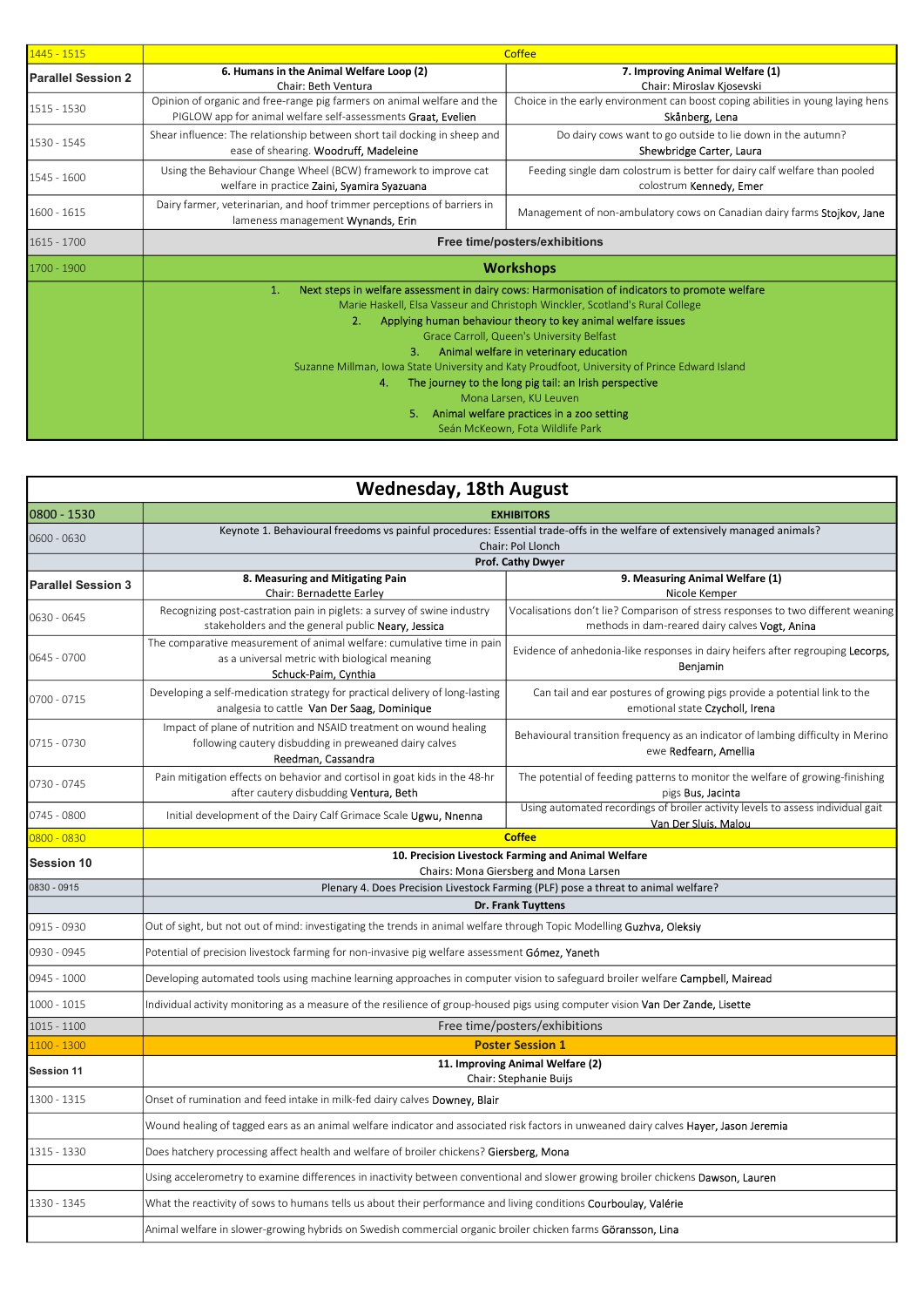| $1445 - 1515$             | <b>Coffee</b>                                                                                                                                                                                                                                                                                                                                                                                                                                                                                                                                                                                                                             |                                                                                                      |
|---------------------------|-------------------------------------------------------------------------------------------------------------------------------------------------------------------------------------------------------------------------------------------------------------------------------------------------------------------------------------------------------------------------------------------------------------------------------------------------------------------------------------------------------------------------------------------------------------------------------------------------------------------------------------------|------------------------------------------------------------------------------------------------------|
| <b>Parallel Session 2</b> | 6. Humans in the Animal Welfare Loop (2)<br>Chair: Beth Ventura                                                                                                                                                                                                                                                                                                                                                                                                                                                                                                                                                                           | 7. Improving Animal Welfare (1)<br>Chair: Miroslav Kiosevski                                         |
| 1515 - 1530               | Opinion of organic and free-range pig farmers on animal welfare and the<br>PIGLOW app for animal welfare self-assessments Graat, Evelien                                                                                                                                                                                                                                                                                                                                                                                                                                                                                                  | Choice in the early environment can boost coping abilities in young laying hens<br>Skånberg, Lena    |
| 1530 - 1545               | Shear influence: The relationship between short tail docking in sheep and<br>ease of shearing. Woodruff, Madeleine                                                                                                                                                                                                                                                                                                                                                                                                                                                                                                                        | Do dairy cows want to go outside to lie down in the autumn?<br>Shewbridge Carter, Laura              |
| 1545 - 1600               | Using the Behaviour Change Wheel (BCW) framework to improve cat<br>welfare in practice Zaini, Syamira Syazuana                                                                                                                                                                                                                                                                                                                                                                                                                                                                                                                            | Feeding single dam colostrum is better for dairy calf welfare than pooled<br>colostrum Kennedy, Emer |
| 1600 - 1615               | Dairy farmer, veterinarian, and hoof trimmer perceptions of barriers in<br>lameness management Wynands, Erin                                                                                                                                                                                                                                                                                                                                                                                                                                                                                                                              | Management of non-ambulatory cows on Canadian dairy farms Stojkov, Jane                              |
| 1615 - 1700               | Free time/posters/exhibitions                                                                                                                                                                                                                                                                                                                                                                                                                                                                                                                                                                                                             |                                                                                                      |
| 1700 - 1900               | <b>Workshops</b>                                                                                                                                                                                                                                                                                                                                                                                                                                                                                                                                                                                                                          |                                                                                                      |
|                           | Next steps in welfare assessment in dairy cows: Harmonisation of indicators to promote welfare<br>1.<br>Marie Haskell, Elsa Vasseur and Christoph Winckler, Scotland's Rural College<br>2.<br>Applying human behaviour theory to key animal welfare issues<br>Grace Carroll, Queen's University Belfast<br>3.<br>Animal welfare in veterinary education<br>Suzanne Millman, Iowa State University and Katy Proudfoot, University of Prince Edward Island<br>The journey to the long pig tail: an Irish perspective<br>4.<br>Mona Larsen, KU Leuven<br>5.<br>Animal welfare practices in a zoo setting<br>Seán McKeown, Fota Wildlife Park |                                                                                                      |

|                           | <b>Wednesday, 18th August</b>                                                                                                                     |                                                                                                                                    |  |
|---------------------------|---------------------------------------------------------------------------------------------------------------------------------------------------|------------------------------------------------------------------------------------------------------------------------------------|--|
| 0800 - 1530               | <b>EXHIBITORS</b>                                                                                                                                 |                                                                                                                                    |  |
| 0600 - 0630               | Keynote 1. Behavioural freedoms vs painful procedures: Essential trade-offs in the welfare of extensively managed animals?                        |                                                                                                                                    |  |
|                           | Chair: Pol Llonch<br>Prof. Cathy Dwyer                                                                                                            |                                                                                                                                    |  |
| <b>Parallel Session 3</b> | 8. Measuring and Mitigating Pain                                                                                                                  | 9. Measuring Animal Welfare (1)                                                                                                    |  |
|                           | Chair: Bernadette Earley                                                                                                                          | Nicole Kemper                                                                                                                      |  |
| 0630 - 0645               | Recognizing post-castration pain in piglets: a survey of swine industry<br>stakeholders and the general public Neary, Jessica                     | Vocalisations don't lie? Comparison of stress responses to two different weaning<br>methods in dam-reared dairy calves Vogt, Anina |  |
| 0645 - 0700               | The comparative measurement of animal welfare: cumulative time in pain<br>as a universal metric with biological meaning<br>Schuck-Paim, Cynthia   | Evidence of anhedonia-like responses in dairy heifers after regrouping Lecorps,<br>Beniamin                                        |  |
| 0700 - 0715               | Developing a self-medication strategy for practical delivery of long-lasting<br>analgesia to cattle Van Der Saag, Dominique                       | Can tail and ear postures of growing pigs provide a potential link to the<br>emotional state Czycholl, Irena                       |  |
| 0715 - 0730               | Impact of plane of nutrition and NSAID treatment on wound healing<br>following cautery disbudding in preweaned dairy calves<br>Reedman, Cassandra | Behavioural transition frequency as an indicator of lambing difficulty in Merino<br>ewe Redfearn, Amellia                          |  |
| 0730 - 0745               | Pain mitigation effects on behavior and cortisol in goat kids in the 48-hr<br>after cautery disbudding Ventura, Beth                              | The potential of feeding patterns to monitor the welfare of growing-finishing<br>pigs Bus, Jacinta                                 |  |
| 0745 - 0800               | Initial development of the Dairy Calf Grimace Scale Ugwu, Nnenna                                                                                  | Using automated recordings of broiler activity levels to assess individual gait<br>Van Der Sluis. Malou                            |  |
| 0800 - 0830               | <b>Coffee</b>                                                                                                                                     |                                                                                                                                    |  |
| <b>Session 10</b>         | 10. Precision Livestock Farming and Animal Welfare                                                                                                |                                                                                                                                    |  |
| 0830 - 0915               |                                                                                                                                                   | Chairs: Mona Giersberg and Mona Larsen<br>Plenary 4. Does Precision Livestock Farming (PLF) pose a threat to animal welfare?       |  |
|                           | Dr. Frank Tuyttens                                                                                                                                |                                                                                                                                    |  |
| 0915 - 0930               | Out of sight, but not out of mind: investigating the trends in animal welfare through Topic Modelling Guzhva, Oleksiy                             |                                                                                                                                    |  |
| 0930 - 0945               | Potential of precision livestock farming for non-invasive pig welfare assessment Gómez, Yaneth                                                    |                                                                                                                                    |  |
| 0945 - 1000               | Developing automated tools using machine learning approaches in computer vision to safeguard broiler welfare <b>Campbell, Mairead</b>             |                                                                                                                                    |  |
| $1000 - 1015$             | Individual activity monitoring as a measure of the resilience of group-housed pigs using computer vision <b>Van Der Zande, Lisette</b>            |                                                                                                                                    |  |
| 1015 - 1100               |                                                                                                                                                   | Free time/posters/exhibitions                                                                                                      |  |
| 1100 - 1300               | <b>Poster Session 1</b>                                                                                                                           |                                                                                                                                    |  |
| Session 11                | 11. Improving Animal Welfare (2)<br>Chair: Stephanie Buijs                                                                                        |                                                                                                                                    |  |
| 1300 - 1315               | Onset of rumination and feed intake in milk-fed dairy calves <b>Downey, Blair</b>                                                                 |                                                                                                                                    |  |
|                           | Wound healing of tagged ears as an animal welfare indicator and associated risk factors in unweaned dairy calves <b>Hayer, Jason Jeremia</b>      |                                                                                                                                    |  |
| 1315 - 1330               | Does hatchery processing affect health and welfare of broiler chickens? Giersberg, Mona                                                           |                                                                                                                                    |  |
|                           | Using accelerometry to examine differences in inactivity between conventional and slower growing broiler chickens <b>Dawson, Lauren</b>           |                                                                                                                                    |  |
| 1330 - 1345               | What the reactivity of sows to humans tells us about their performance and living conditions <b>Courboulay, Valérie</b>                           |                                                                                                                                    |  |
|                           | Animal welfare in slower-growing hybrids on Swedish commercial organic broiler chicken farms Göransson, Lina                                      |                                                                                                                                    |  |